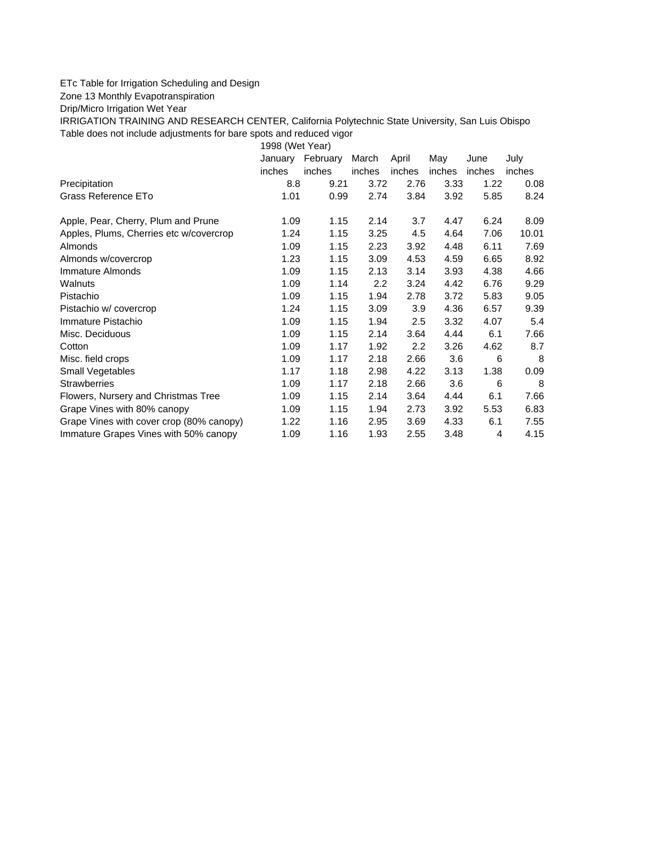## ETc Table for Irrigation Scheduling and Design

Zone 13 Monthly Evapotranspiration

Drip/Micro Irrigation Wet Year

IRRIGATION TRAINING AND RESEARCH CENTER, California Polytechnic State University, San Luis Obispo Table does not include adjustments for bare spots and reduced vigor

1998 (Wet Year)

|                                          | January | February | March  | April  | May    | June   | July   |
|------------------------------------------|---------|----------|--------|--------|--------|--------|--------|
|                                          | inches  | inches   | inches | inches | inches | inches | inches |
| Precipitation                            | 8.8     | 9.21     | 3.72   | 2.76   | 3.33   | 1.22   | 0.08   |
| Grass Reference ETo                      | 1.01    | 0.99     | 2.74   | 3.84   | 3.92   | 5.85   | 8.24   |
| Apple, Pear, Cherry, Plum and Prune      | 1.09    | 1.15     | 2.14   | 3.7    | 4.47   | 6.24   | 8.09   |
| Apples, Plums, Cherries etc w/covercrop  | 1.24    | 1.15     | 3.25   | 4.5    | 4.64   | 7.06   | 10.01  |
| Almonds                                  | 1.09    | 1.15     | 2.23   | 3.92   | 4.48   | 6.11   | 7.69   |
| Almonds w/covercrop                      | 1.23    | 1.15     | 3.09   | 4.53   | 4.59   | 6.65   | 8.92   |
| Immature Almonds                         | 1.09    | 1.15     | 2.13   | 3.14   | 3.93   | 4.38   | 4.66   |
| Walnuts                                  | 1.09    | 1.14     | 2.2    | 3.24   | 4.42   | 6.76   | 9.29   |
| Pistachio                                | 1.09    | 1.15     | 1.94   | 2.78   | 3.72   | 5.83   | 9.05   |
| Pistachio w/covercrop                    | 1.24    | 1.15     | 3.09   | 3.9    | 4.36   | 6.57   | 9.39   |
| Immature Pistachio                       | 1.09    | 1.15     | 1.94   | 2.5    | 3.32   | 4.07   | 5.4    |
| Misc. Deciduous                          | 1.09    | 1.15     | 2.14   | 3.64   | 4.44   | 6.1    | 7.66   |
| Cotton                                   | 1.09    | 1.17     | 1.92   | 2.2    | 3.26   | 4.62   | 8.7    |
| Misc. field crops                        | 1.09    | 1.17     | 2.18   | 2.66   | 3.6    | 6      | 8      |
| Small Vegetables                         | 1.17    | 1.18     | 2.98   | 4.22   | 3.13   | 1.38   | 0.09   |
| <b>Strawberries</b>                      | 1.09    | 1.17     | 2.18   | 2.66   | 3.6    | 6      | 8      |
| Flowers, Nursery and Christmas Tree      | 1.09    | 1.15     | 2.14   | 3.64   | 4.44   | 6.1    | 7.66   |
| Grape Vines with 80% canopy              | 1.09    | 1.15     | 1.94   | 2.73   | 3.92   | 5.53   | 6.83   |
| Grape Vines with cover crop (80% canopy) | 1.22    | 1.16     | 2.95   | 3.69   | 4.33   | 6.1    | 7.55   |
| Immature Grapes Vines with 50% canopy    | 1.09    | 1.16     | 1.93   | 2.55   | 3.48   | 4      | 4.15   |